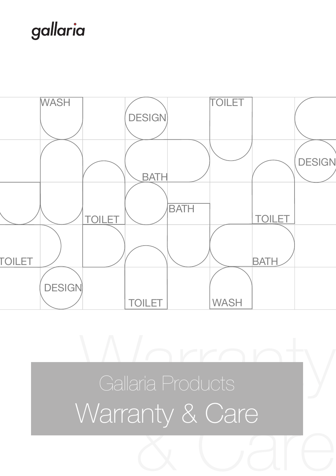## gallaria



**Manual Products** & Care Warranty & Care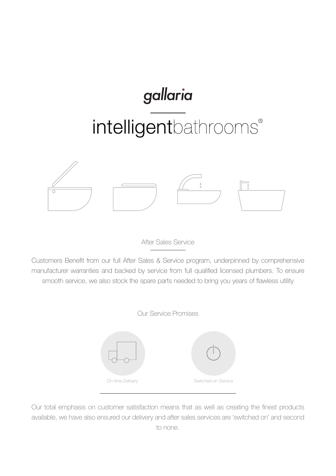# gallaria intelligentbathrooms®



After Sales Service

Customers Benefit from our full After Sales & Service program, underpinned by comprehensive manufacturer warranties and backed by service from full qualified licensed plumbers. To ensure smooth service, we also stock the spare parts needed to bring you years of flawless utility





Our total emphasis on customer satisfaction means that as well as creating the finest products available, we have also ensured our delivery and after sales services are 'switched on' and second to none.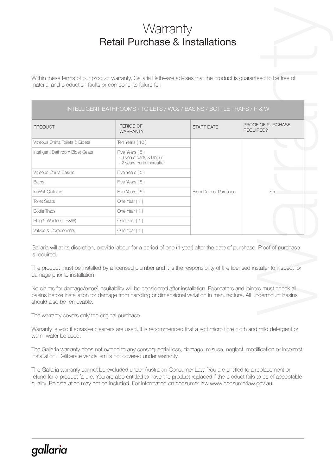## **Warranty** Retail Purchase & Installations

| <b>Warranty</b><br><b>Retail Purchase &amp; Installations</b> |                                                                                                                    |                       |                                |
|---------------------------------------------------------------|--------------------------------------------------------------------------------------------------------------------|-----------------------|--------------------------------|
| material and production faults or components failure for:     | Within these terms of our product warranty, Gallaria Bathware advises that the product is guaranteed to be free of |                       |                                |
|                                                               | INTELLIGENT BATHROOMS / TOILETS / WCs / BASINS / BOTTLE TRAPS / P & W                                              |                       |                                |
| <b>PRODUCT</b>                                                | PERIOD OF<br><b>WARRANTY</b>                                                                                       | <b>START DATE</b>     | PROOF OF PURCHASE<br>REQUIRED? |
| Vitreous China Toilets & Bidets                               | Ten Years (10)                                                                                                     |                       |                                |
| Intelligent Bathroom Bidet Seats                              | Five Years (5)<br>- 3 years parts & labour<br>- 2 years parts thereafter                                           |                       |                                |
| Vitreous China Basins                                         | Five Years (5)                                                                                                     | From Date of Purchase |                                |
| <b>Baths</b>                                                  | Five Years (5)                                                                                                     |                       |                                |
| In Wall Cistems                                               | Five Years (5)                                                                                                     |                       | Yes                            |
| <b>Toilet Seats</b>                                           | One Year (1)                                                                                                       |                       |                                |
| <b>Bottle Traps</b>                                           | One Year (1)                                                                                                       |                       |                                |
|                                                               |                                                                                                                    |                       |                                |
| Plug & Wasters (P&W)                                          | One Year (1)                                                                                                       |                       |                                |

The warranty covers only the original purchase.

Warranty is void if abrasive cleaners are used. It is recommended that a soft micro fibre cloth and mild detergent or warm water be used.

The Gallaria warranty does not extend to any consequential loss, damage, misuse, neglect, modification or incorrect installation. Deliberate vandalism is not covered under warranty.

The Gallaria warranty cannot be excluded under Australian Consumer Law. You are entitled to a replacement or refund for a product failure. You are also entitled to have the product replaced if the product fails to be of acceptable quality. Reinstallation may not be included. For information on consumer law www.consumerlaw.gov.au